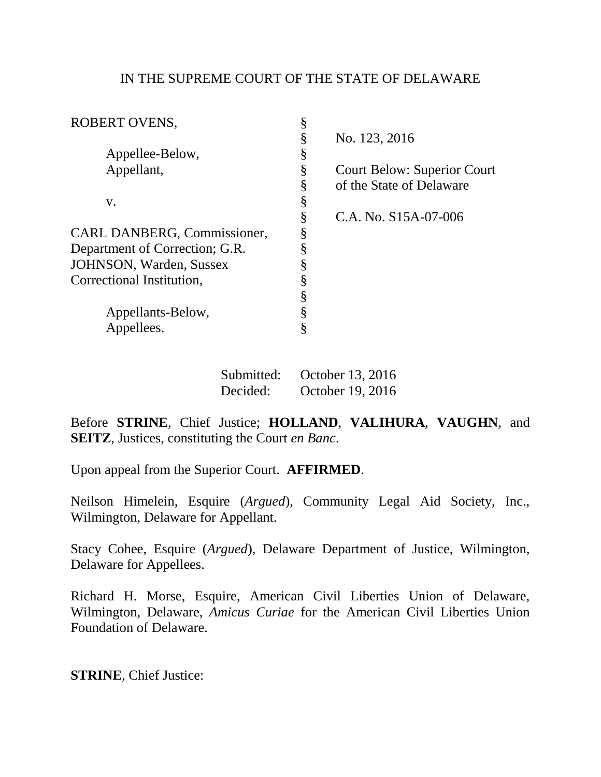## IN THE SUPREME COURT OF THE STATE OF DELAWARE

| <b>ROBERT OVENS,</b>           |   |                                    |
|--------------------------------|---|------------------------------------|
|                                | § | No. 123, 2016                      |
| Appellee-Below,                | § |                                    |
| Appellant,                     | § | <b>Court Below: Superior Court</b> |
|                                | § | of the State of Delaware           |
| V.                             | § |                                    |
|                                | § | C.A. No. $S15A-07-006$             |
| CARL DANBERG, Commissioner,    | ş |                                    |
| Department of Correction; G.R. | 8 |                                    |
| JOHNSON, Warden, Sussex        | § |                                    |
| Correctional Institution,      |   |                                    |
|                                | § |                                    |
| Appellants-Below,              | § |                                    |
| Appellees.                     | § |                                    |
|                                |   |                                    |

| Submitted: | October 13, 2016 |
|------------|------------------|
| Decided:   | October 19, 2016 |

Before **STRINE**, Chief Justice; **HOLLAND**, **VALIHURA**, **VAUGHN**, and **SEITZ**, Justices, constituting the Court *en Banc*.

Upon appeal from the Superior Court. **AFFIRMED**.

Neilson Himelein, Esquire (*Argued*), Community Legal Aid Society, Inc., Wilmington, Delaware for Appellant.

Stacy Cohee, Esquire (*Argued*), Delaware Department of Justice, Wilmington, Delaware for Appellees.

Richard H. Morse, Esquire, American Civil Liberties Union of Delaware, Wilmington, Delaware, *Amicus Curiae* for the American Civil Liberties Union Foundation of Delaware.

**STRINE**, Chief Justice: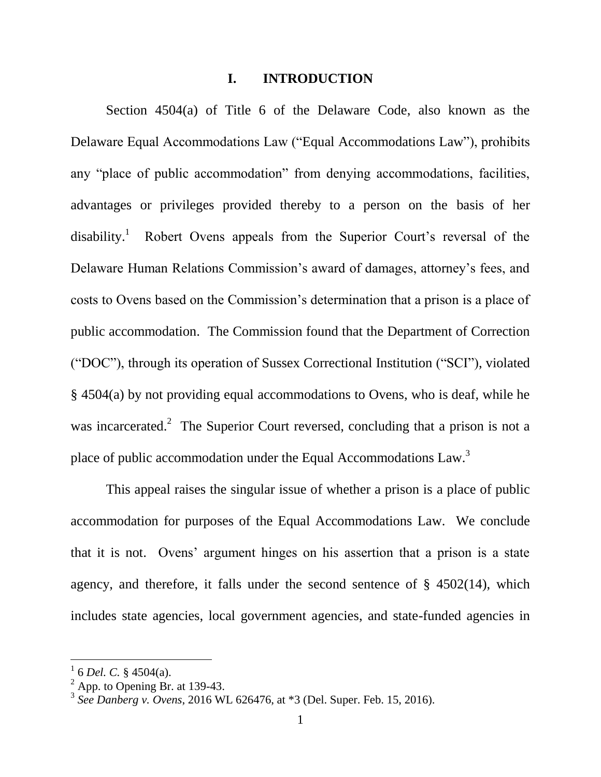### **I. INTRODUCTION**

Section 4504(a) of Title 6 of the Delaware Code, also known as the Delaware Equal Accommodations Law ("Equal Accommodations Law"), prohibits any "place of public accommodation" from denying accommodations, facilities, advantages or privileges provided thereby to a person on the basis of her disability.<sup>1</sup> Robert Ovens appeals from the Superior Court's reversal of the Delaware Human Relations Commission's award of damages, attorney's fees, and costs to Ovens based on the Commission's determination that a prison is a place of public accommodation. The Commission found that the Department of Correction ("DOC"), through its operation of Sussex Correctional Institution ("SCI"), violated § 4504(a) by not providing equal accommodations to Ovens, who is deaf, while he was incarcerated.<sup>2</sup> The Superior Court reversed, concluding that a prison is not a place of public accommodation under the Equal Accommodations  $Law^3$ .

This appeal raises the singular issue of whether a prison is a place of public accommodation for purposes of the Equal Accommodations Law. We conclude that it is not. Ovens' argument hinges on his assertion that a prison is a state agency, and therefore, it falls under the second sentence of  $\S$  4502(14), which includes state agencies, local government agencies, and state-funded agencies in

 $^{1}$  6 *Del. C.* § 4504(a).

 $2$  App. to Opening Br. at 139-43.

<sup>3</sup> *See Danberg v. Ovens*, 2016 WL 626476, at \*3 (Del. Super. Feb. 15, 2016).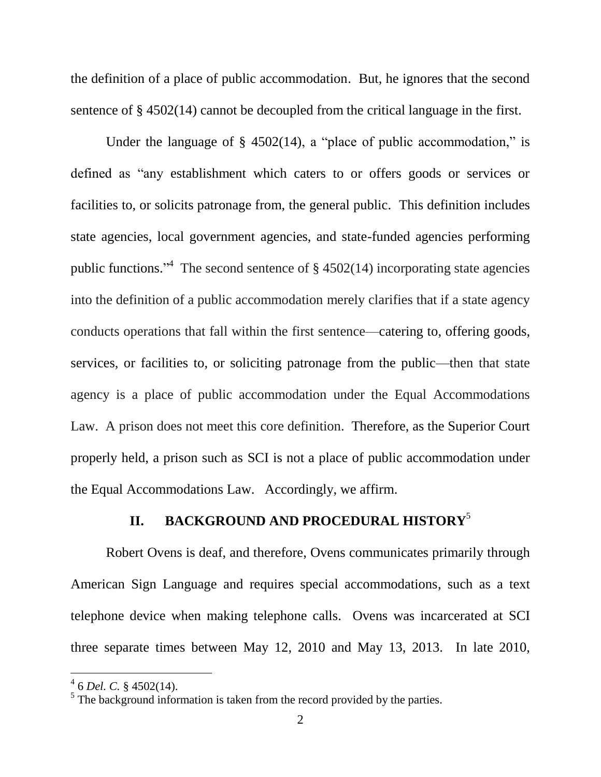the definition of a place of public accommodation. But, he ignores that the second sentence of § 4502(14) cannot be decoupled from the critical language in the first.

Under the language of  $\S$  4502(14), a "place of public accommodation," is defined as "any establishment which caters to or offers goods or services or facilities to, or solicits patronage from, the general public. This definition includes state agencies, local government agencies, and state-funded agencies performing public functions."<sup>4</sup> The second sentence of  $\S$  4502(14) incorporating state agencies into the definition of a public accommodation merely clarifies that if a state agency conducts operations that fall within the first sentence—catering to, offering goods, services, or facilities to, or soliciting patronage from the public—then that state agency is a place of public accommodation under the Equal Accommodations Law. A prison does not meet this core definition. Therefore, as the Superior Court properly held, a prison such as SCI is not a place of public accommodation under the Equal Accommodations Law. Accordingly, we affirm.

# **II. BACKGROUND AND PROCEDURAL HISTORY**<sup>5</sup>

Robert Ovens is deaf, and therefore, Ovens communicates primarily through American Sign Language and requires special accommodations, such as a text telephone device when making telephone calls. Ovens was incarcerated at SCI three separate times between May 12, 2010 and May 13, 2013. In late 2010,

<sup>4</sup> 6 *Del. C.* § 4502(14).

 $<sup>5</sup>$  The background information is taken from the record provided by the parties.</sup>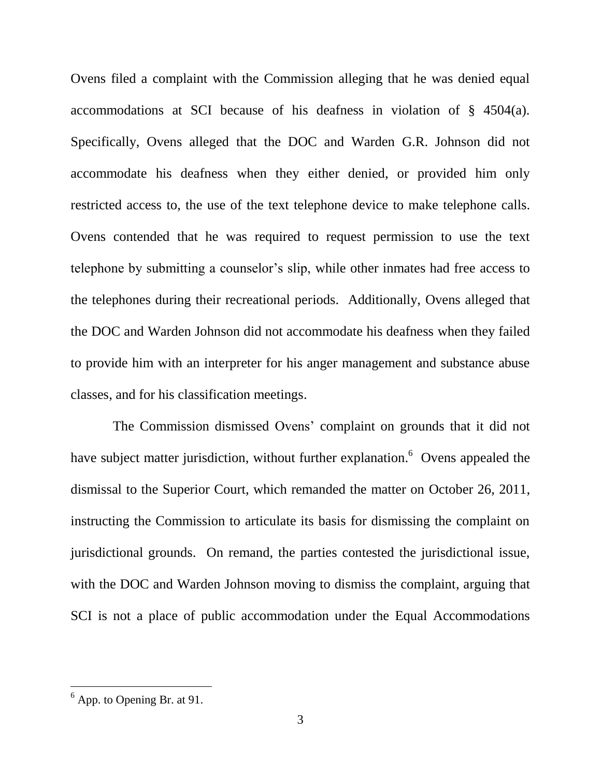Ovens filed a complaint with the Commission alleging that he was denied equal accommodations at SCI because of his deafness in violation of § 4504(a). Specifically, Ovens alleged that the DOC and Warden G.R. Johnson did not accommodate his deafness when they either denied, or provided him only restricted access to, the use of the text telephone device to make telephone calls. Ovens contended that he was required to request permission to use the text telephone by submitting a counselor's slip, while other inmates had free access to the telephones during their recreational periods. Additionally, Ovens alleged that the DOC and Warden Johnson did not accommodate his deafness when they failed to provide him with an interpreter for his anger management and substance abuse classes, and for his classification meetings.

 The Commission dismissed Ovens' complaint on grounds that it did not have subject matter jurisdiction, without further explanation. <sup>6</sup> Ovens appealed the dismissal to the Superior Court, which remanded the matter on October 26, 2011, instructing the Commission to articulate its basis for dismissing the complaint on jurisdictional grounds. On remand, the parties contested the jurisdictional issue, with the DOC and Warden Johnson moving to dismiss the complaint, arguing that SCI is not a place of public accommodation under the Equal Accommodations

 $<sup>6</sup>$  App. to Opening Br. at 91.</sup>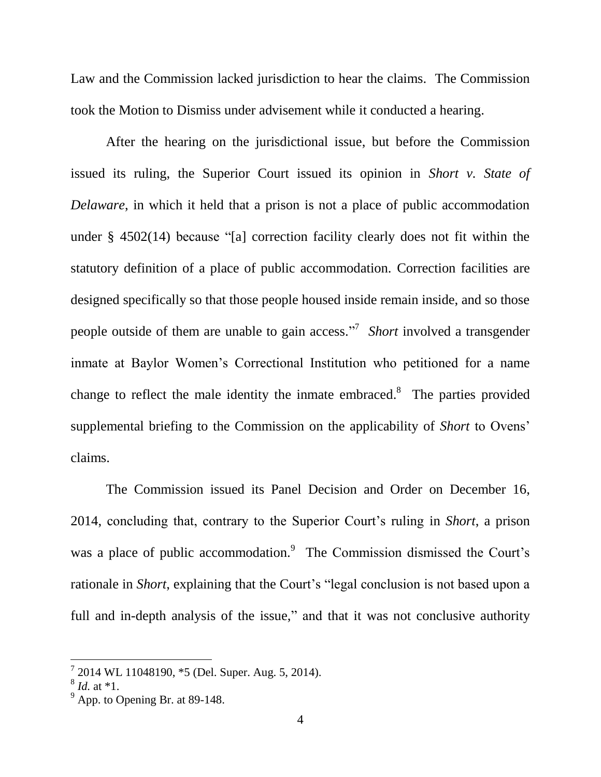Law and the Commission lacked jurisdiction to hear the claims. The Commission took the Motion to Dismiss under advisement while it conducted a hearing.

After the hearing on the jurisdictional issue, but before the Commission issued its ruling, the Superior Court issued its opinion in *Short v. State of Delaware*, in which it held that a prison is not a place of public accommodation under § 4502(14) because "[a] correction facility clearly does not fit within the statutory definition of a place of public accommodation. Correction facilities are designed specifically so that those people housed inside remain inside, and so those people outside of them are unable to gain access." 7 *Short* involved a transgender inmate at Baylor Women's Correctional Institution who petitioned for a name change to reflect the male identity the inmate embraced. $\delta$  The parties provided supplemental briefing to the Commission on the applicability of *Short* to Ovens' claims.

The Commission issued its Panel Decision and Order on December 16, 2014, concluding that, contrary to the Superior Court's ruling in *Short*, a prison was a place of public accommodation.<sup>9</sup> The Commission dismissed the Court's rationale in *Short*, explaining that the Court's "legal conclusion is not based upon a full and in-depth analysis of the issue," and that it was not conclusive authority

 $72014$  WL 11048190,  $*5$  (Del. Super. Aug. 5, 2014).

<sup>8</sup> *Id.* at \*1.

 $9^9$  App. to Opening Br. at 89-148.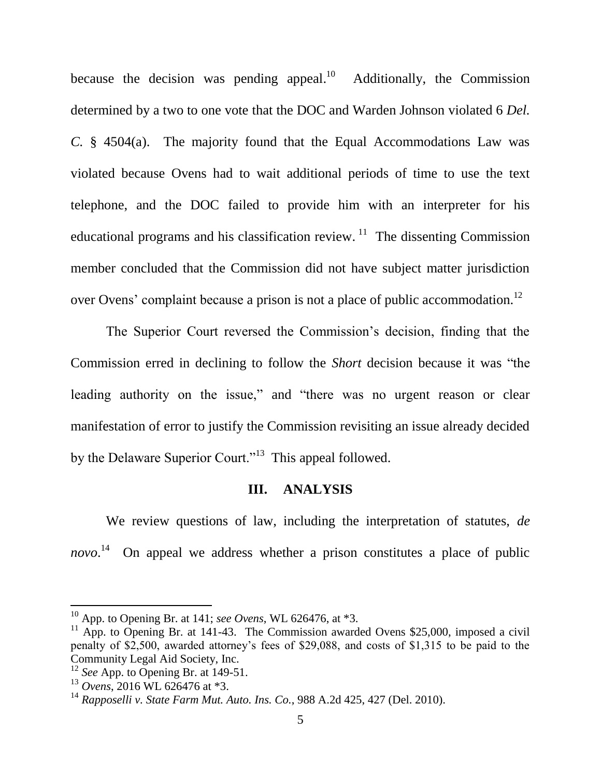because the decision was pending appeal.<sup>10</sup> Additionally, the Commission determined by a two to one vote that the DOC and Warden Johnson violated 6 *Del. C.* § 4504(a). The majority found that the Equal Accommodations Law was violated because Ovens had to wait additional periods of time to use the text telephone, and the DOC failed to provide him with an interpreter for his educational programs and his classification review.<sup>11</sup> The dissenting Commission member concluded that the Commission did not have subject matter jurisdiction over Ovens' complaint because a prison is not a place of public accommodation.<sup>12</sup>

The Superior Court reversed the Commission's decision, finding that the Commission erred in declining to follow the *Short* decision because it was "the leading authority on the issue," and "there was no urgent reason or clear manifestation of error to justify the Commission revisiting an issue already decided by the Delaware Superior Court."<sup>13</sup> This appeal followed.

### **III. ANALYSIS**

We review questions of law, including the interpretation of statutes, *de*  novo.<sup>14</sup> On appeal we address whether a prison constitutes a place of public

 $^{10}$  App. to Opening Br. at 141; *see Ovens*, WL 626476, at  $*3$ .

 $11$  App. to Opening Br. at 141-43. The Commission awarded Ovens \$25,000, imposed a civil penalty of \$2,500, awarded attorney's fees of \$29,088, and costs of \$1,315 to be paid to the Community Legal Aid Society, Inc.

<sup>&</sup>lt;sup>12</sup> *See* App. to Opening Br. at 149-51.

<sup>13</sup> *Ovens*, 2016 WL 626476 at \*3.

<sup>14</sup> *Rapposelli v. State Farm Mut. Auto. Ins. Co.*, 988 A.2d 425, 427 (Del. 2010).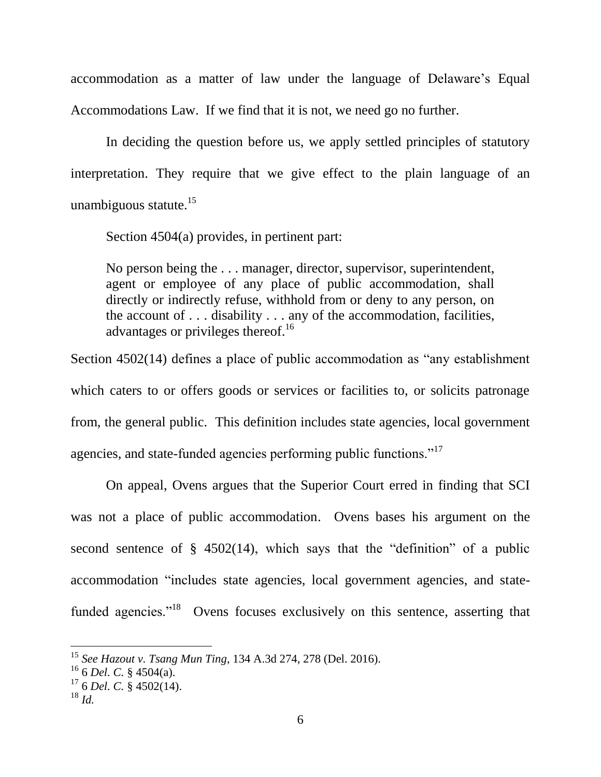accommodation as a matter of law under the language of Delaware's Equal Accommodations Law. If we find that it is not, we need go no further.

In deciding the question before us, we apply settled principles of statutory interpretation. They require that we give effect to the plain language of an unambiguous statute. $15$ 

Section 4504(a) provides, in pertinent part:

No person being the ... manager, director, supervisor, superintendent, agent or employee of any place of public accommodation, shall directly or indirectly refuse, withhold from or deny to any person, on the account of . . . disability . . . any of the accommodation, facilities, advantages or privileges thereof.<sup>16</sup>

Section 4502(14) defines a place of public accommodation as "any establishment which caters to or offers goods or services or facilities to, or solicits patronage from, the general public. This definition includes state agencies, local government agencies, and state-funded agencies performing public functions."<sup>17</sup>

On appeal, Ovens argues that the Superior Court erred in finding that SCI was not a place of public accommodation. Ovens bases his argument on the second sentence of  $\S$  4502(14), which says that the "definition" of a public accommodation "includes state agencies, local government agencies, and statefunded agencies."<sup>18</sup> Ovens focuses exclusively on this sentence, asserting that

<sup>15</sup> *See Hazout v. Tsang Mun Ting*, 134 A.3d 274, 278 (Del. 2016).

 $^{16}$  6 *Del. C.* § 4504(a).

<sup>17</sup> 6 *Del. C.* § 4502(14).

<sup>18</sup> *Id.*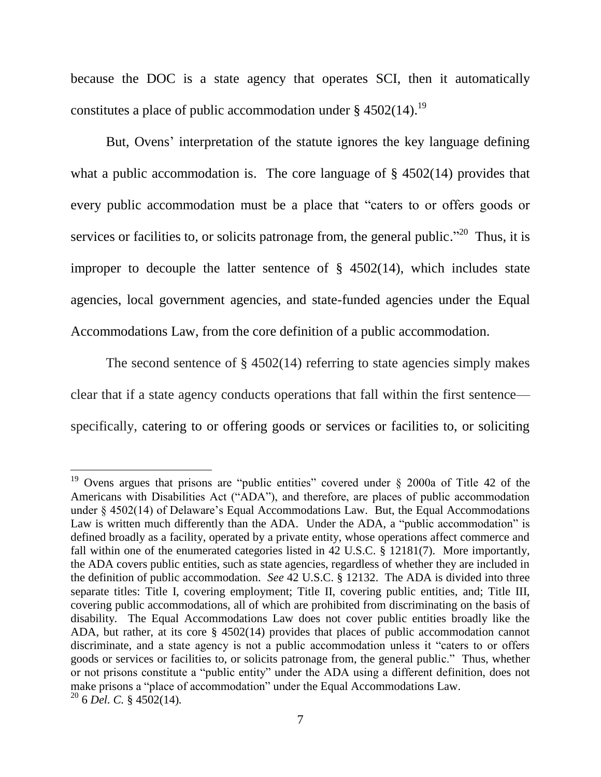because the DOC is a state agency that operates SCI, then it automatically constitutes a place of public accommodation under  $\S 4502(14).$ <sup>19</sup>

But, Ovens' interpretation of the statute ignores the key language defining what a public accommodation is. The core language of § 4502(14) provides that every public accommodation must be a place that "caters to or offers goods or services or facilities to, or solicits patronage from, the general public."<sup>20</sup> Thus, it is improper to decouple the latter sentence of  $\S$  4502(14), which includes state agencies, local government agencies, and state-funded agencies under the Equal Accommodations Law, from the core definition of a public accommodation.

The second sentence of § 4502(14) referring to state agencies simply makes clear that if a state agency conducts operations that fall within the first sentence specifically, catering to or offering goods or services or facilities to, or soliciting

<sup>&</sup>lt;sup>19</sup> Ovens argues that prisons are "public entities" covered under  $\S$  2000a of Title 42 of the Americans with Disabilities Act ("ADA"), and therefore, are places of public accommodation under § 4502(14) of Delaware's Equal Accommodations Law. But, the Equal Accommodations Law is written much differently than the ADA. Under the ADA, a "public accommodation" is defined broadly as a facility, operated by a private entity, whose operations affect commerce and fall within one of the enumerated categories listed in 42 U.S.C. § 12181(7). More importantly, the ADA covers public entities, such as state agencies, regardless of whether they are included in the definition of public accommodation. *See* 42 U.S.C. § 12132. The ADA is divided into three separate titles: Title I, covering employment; Title II, covering public entities, and; Title III, covering public accommodations, all of which are prohibited from discriminating on the basis of disability. The Equal Accommodations Law does not cover public entities broadly like the ADA, but rather, at its core § 4502(14) provides that places of public accommodation cannot discriminate, and a state agency is not a public accommodation unless it "caters to or offers goods or services or facilities to, or solicits patronage from, the general public." Thus, whether or not prisons constitute a "public entity" under the ADA using a different definition, does not make prisons a "place of accommodation" under the Equal Accommodations Law. <sup>20</sup> 6 *Del. C.* § 4502(14)*.*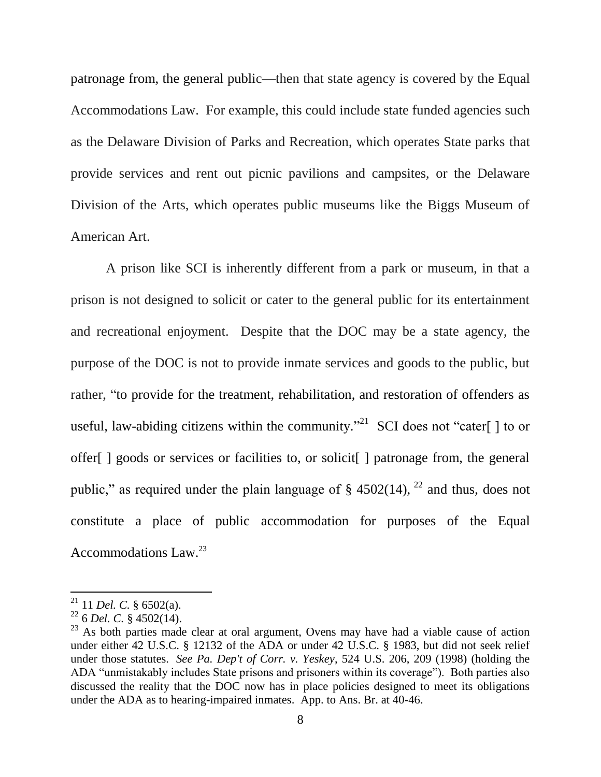patronage from, the general public—then that state agency is covered by the Equal Accommodations Law. For example, this could include state funded agencies such as the Delaware Division of Parks and Recreation, which operates State parks that provide services and rent out picnic pavilions and campsites, or the Delaware Division of the Arts, which operates public museums like the Biggs Museum of American Art.

A prison like SCI is inherently different from a park or museum, in that a prison is not designed to solicit or cater to the general public for its entertainment and recreational enjoyment. Despite that the DOC may be a state agency, the purpose of the DOC is not to provide inmate services and goods to the public, but rather, "to provide for the treatment, rehabilitation, and restoration of offenders as useful, law-abiding citizens within the community.<sup>"21</sup> SCI does not "cater[] to or offer[ ] goods or services or facilities to, or solicit[ ] patronage from, the general public," as required under the plain language of  $\S$  4502(14), <sup>22</sup> and thus, does not constitute a place of public accommodation for purposes of the Equal Accommodations Law.<sup>23</sup>

<sup>21</sup> 11 *Del. C.* § 6502(a).

<sup>22</sup> 6 *Del. C.* § 4502(14).

 $23$  As both parties made clear at oral argument, Ovens may have had a viable cause of action under either 42 U.S.C. § 12132 of the ADA or under 42 U.S.C. § 1983, but did not seek relief under those statutes. *See Pa. Dep't of Corr. v. Yeskey*, 524 U.S. 206, 209 (1998) (holding the ADA "unmistakably includes State prisons and prisoners within its coverage"). Both parties also discussed the reality that the DOC now has in place policies designed to meet its obligations under the ADA as to hearing-impaired inmates. App. to Ans. Br. at 40-46.